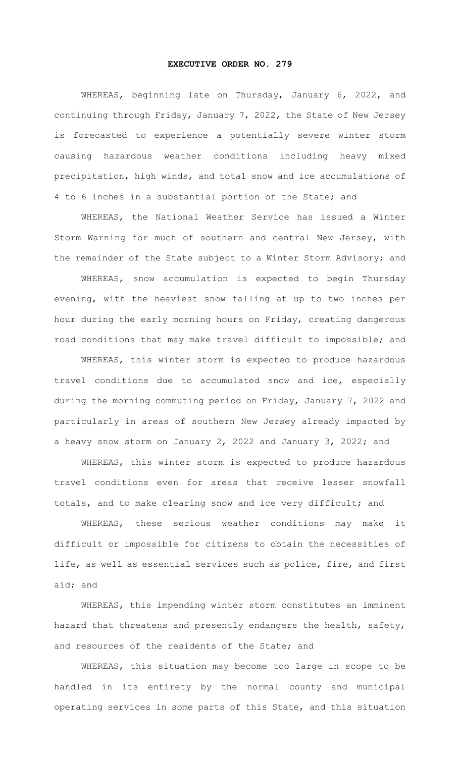## **EXECUTIVE ORDER NO. 279**

WHEREAS, beginning late on Thursday, January 6, 2022, and continuing through Friday, January 7, 2022, the State of New Jersey is forecasted to experience a potentially severe winter storm causing hazardous weather conditions including heavy mixed precipitation, high winds, and total snow and ice accumulations of 4 to 6 inches in a substantial portion of the State; and

WHEREAS, the National Weather Service has issued a Winter Storm Warning for much of southern and central New Jersey, with the remainder of the State subject to a Winter Storm Advisory; and

WHEREAS, snow accumulation is expected to begin Thursday evening, with the heaviest snow falling at up to two inches per hour during the early morning hours on Friday, creating dangerous road conditions that may make travel difficult to impossible; and

WHEREAS, this winter storm is expected to produce hazardous travel conditions due to accumulated snow and ice, especially during the morning commuting period on Friday, January 7, 2022 and particularly in areas of southern New Jersey already impacted by a heavy snow storm on January 2, 2022 and January 3, 2022; and

WHEREAS, this winter storm is expected to produce hazardous travel conditions even for areas that receive lesser snowfall totals, and to make clearing snow and ice very difficult; and

WHEREAS, these serious weather conditions may make it difficult or impossible for citizens to obtain the necessities of life, as well as essential services such as police, fire, and first aid; and

WHEREAS, this impending winter storm constitutes an imminent hazard that threatens and presently endangers the health, safety, and resources of the residents of the State; and

WHEREAS, this situation may become too large in scope to be handled in its entirety by the normal county and municipal operating services in some parts of this State, and this situation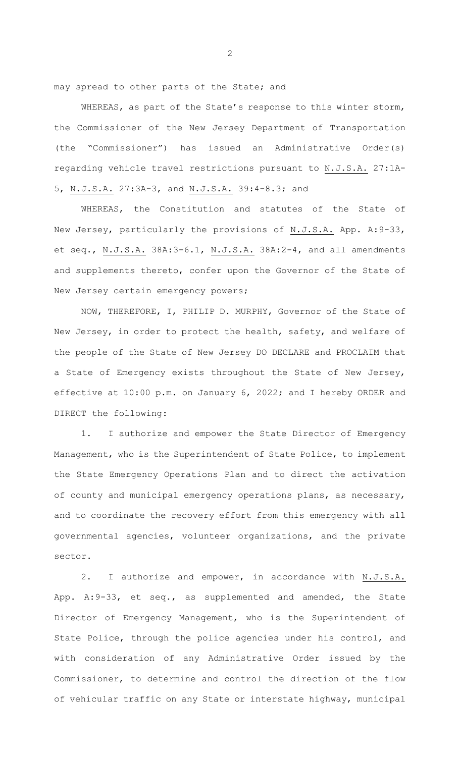may spread to other parts of the State; and

WHEREAS, as part of the State's response to this winter storm, the Commissioner of the New Jersey Department of Transportation (the "Commissioner") has issued an Administrative Order(s) regarding vehicle travel restrictions pursuant to N.J.S.A. 27:1A-5, N.J.S.A. 27:3A-3, and N.J.S.A. 39:4-8.3; and

WHEREAS, the Constitution and statutes of the State of New Jersey, particularly the provisions of N.J.S.A. App. A:9-33, et seq., N.J.S.A. 38A:3-6.1, N.J.S.A. 38A:2-4, and all amendments and supplements thereto, confer upon the Governor of the State of New Jersey certain emergency powers;

NOW, THEREFORE, I, PHILIP D. MURPHY, Governor of the State of New Jersey, in order to protect the health, safety, and welfare of the people of the State of New Jersey DO DECLARE and PROCLAIM that a State of Emergency exists throughout the State of New Jersey, effective at 10:00 p.m. on January 6, 2022; and I hereby ORDER and DIRECT the following:

1. I authorize and empower the State Director of Emergency Management, who is the Superintendent of State Police, to implement the State Emergency Operations Plan and to direct the activation of county and municipal emergency operations plans, as necessary, and to coordinate the recovery effort from this emergency with all governmental agencies, volunteer organizations, and the private sector.

2. I authorize and empower, in accordance with N.J.S.A. App. A:9-33, et seq., as supplemented and amended, the State Director of Emergency Management, who is the Superintendent of State Police, through the police agencies under his control, and with consideration of any Administrative Order issued by the Commissioner, to determine and control the direction of the flow of vehicular traffic on any State or interstate highway, municipal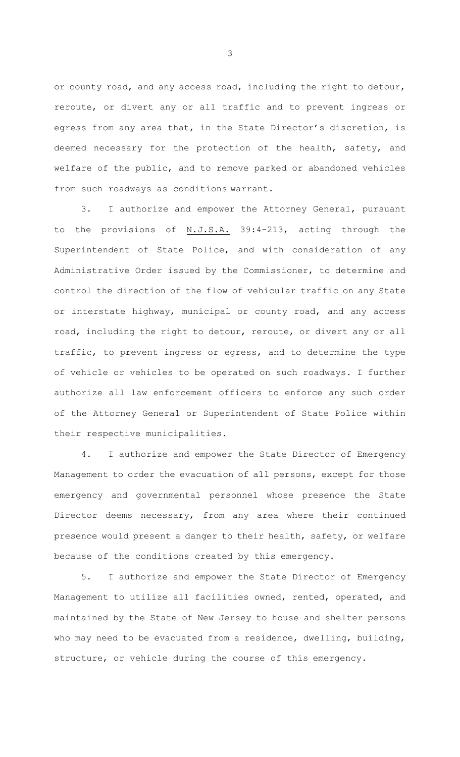or county road, and any access road, including the right to detour, reroute, or divert any or all traffic and to prevent ingress or egress from any area that, in the State Director's discretion, is deemed necessary for the protection of the health, safety, and welfare of the public, and to remove parked or abandoned vehicles from such roadways as conditions warrant.

3. I authorize and empower the Attorney General, pursuant to the provisions of N.J.S.A. 39:4-213, acting through the Superintendent of State Police, and with consideration of any Administrative Order issued by the Commissioner, to determine and control the direction of the flow of vehicular traffic on any State or interstate highway, municipal or county road, and any access road, including the right to detour, reroute, or divert any or all traffic, to prevent ingress or egress, and to determine the type of vehicle or vehicles to be operated on such roadways. I further authorize all law enforcement officers to enforce any such order of the Attorney General or Superintendent of State Police within their respective municipalities.

4. I authorize and empower the State Director of Emergency Management to order the evacuation of all persons, except for those emergency and governmental personnel whose presence the State Director deems necessary, from any area where their continued presence would present a danger to their health, safety, or welfare because of the conditions created by this emergency.

5. I authorize and empower the State Director of Emergency Management to utilize all facilities owned, rented, operated, and maintained by the State of New Jersey to house and shelter persons who may need to be evacuated from a residence, dwelling, building, structure, or vehicle during the course of this emergency.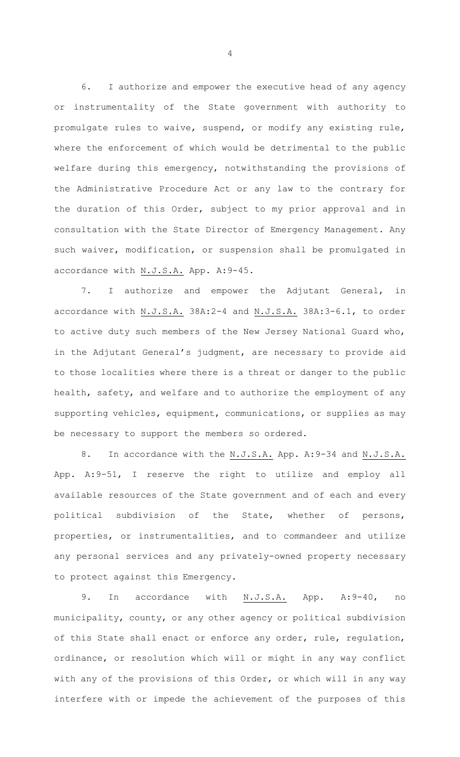6. I authorize and empower the executive head of any agency or instrumentality of the State government with authority to promulgate rules to waive, suspend, or modify any existing rule, where the enforcement of which would be detrimental to the public welfare during this emergency, notwithstanding the provisions of the Administrative Procedure Act or any law to the contrary for the duration of this Order, subject to my prior approval and in consultation with the State Director of Emergency Management. Any such waiver, modification, or suspension shall be promulgated in accordance with N.J.S.A. App. A:9-45.

7. I authorize and empower the Adjutant General, in accordance with N.J.S.A. 38A:2-4 and N.J.S.A. 38A:3-6.1, to order to active duty such members of the New Jersey National Guard who, in the Adjutant General's judgment, are necessary to provide aid to those localities where there is a threat or danger to the public health, safety, and welfare and to authorize the employment of any supporting vehicles, equipment, communications, or supplies as may be necessary to support the members so ordered.

8. In accordance with the N.J.S.A. App. A:9-34 and N.J.S.A. App. A:9-51, I reserve the right to utilize and employ all available resources of the State government and of each and every political subdivision of the State, whether of persons, properties, or instrumentalities, and to commandeer and utilize any personal services and any privately-owned property necessary to protect against this Emergency.

9. In accordance with N.J.S.A. App. A:9-40, no municipality, county, or any other agency or political subdivision of this State shall enact or enforce any order, rule, regulation, ordinance, or resolution which will or might in any way conflict with any of the provisions of this Order, or which will in any way interfere with or impede the achievement of the purposes of this